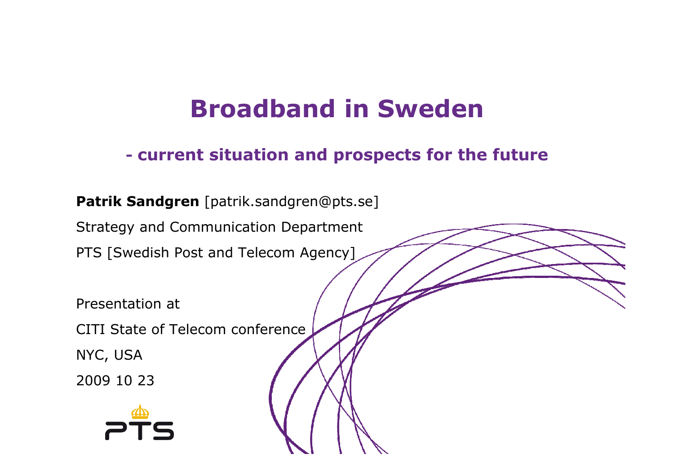# **Broadband in Sweden**

#### **current situation and prospects for the future**

### **Patrik Sandgren** [patrik.sandgren@pts.se]

Strategy and Communication Department

PTS [Swedish Post and Telecom Agency]

Presentation at

CITI State of Telecom conference

NYC, USA

2009 10 23

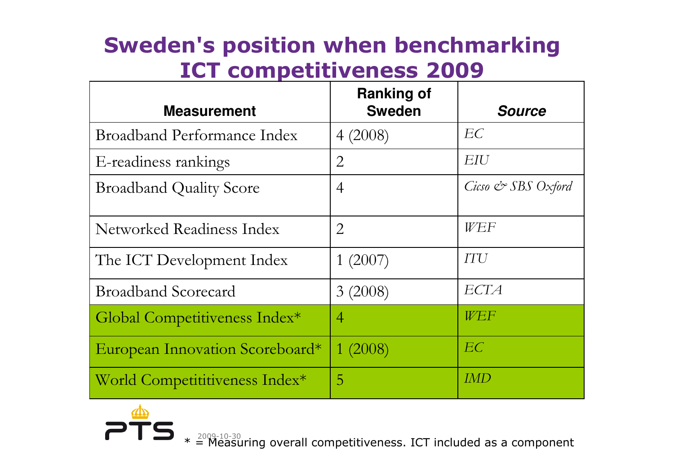## **Sweden's position when benchmarking ICT competitiveness 2009**

| <b>Measurement</b>                 | <b>Ranking of</b><br><b>Sweden</b> | <b>Source</b>      |
|------------------------------------|------------------------------------|--------------------|
| <b>Broadband Performance Index</b> | 4(2008)                            | EC                 |
| E-readiness rankings               | $\overline{2}$                     | EIU                |
| <b>Broadband Quality Score</b>     | $\overline{4}$                     | Cicso & SBS Oxford |
| Networked Readiness Index          | $\overline{2}$                     | WEF                |
| The ICT Development Index          | 1(2007)                            | <b>ITU</b>         |
| <b>Broadband Scorecard</b>         | 3(2008)                            | ECTA               |
| Global Competitiveness Index*      | $\overline{4}$                     | WEF                |
| European Innovation Scoreboard*    | 1(2008)                            | EC                 |
| World Competititiveness Index*     | 5                                  | <i>IMD</i>         |

 $*$   $\overset{2009-10-30}{=}$  Exercill competitiveness. ICT included as a component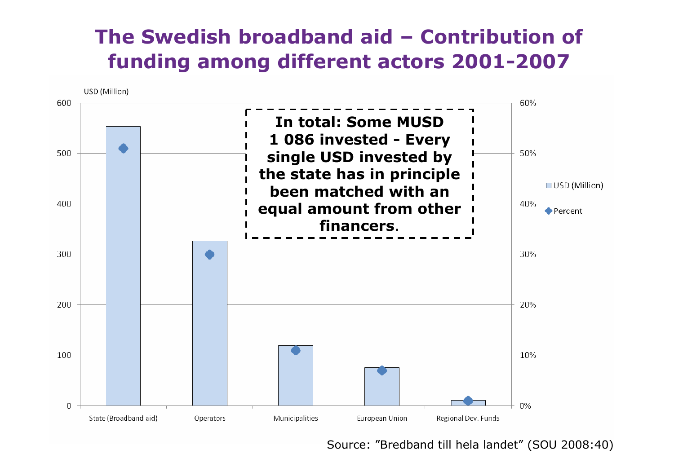# **The Swedish broadband aid – Contribution of**  *<b>funding among different actors* 2001-2007



Source: "Bredband till hela landet" (SOU 2008:40)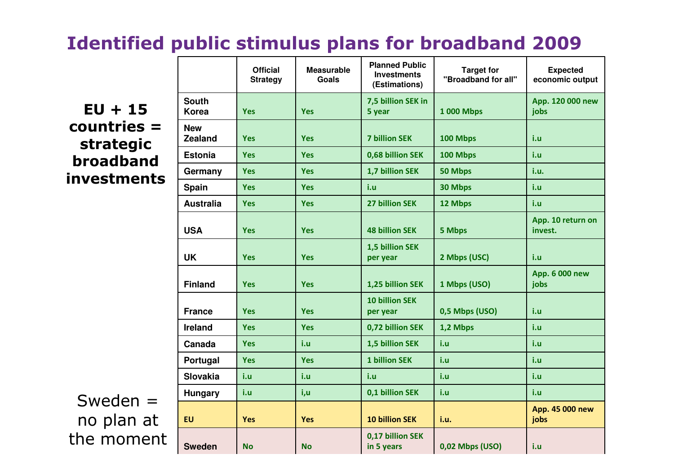### **Identified public stimulus plans for broadband <sup>2009</sup>**

**EU + 15 countries = strategic broadband investments**

Sweden = no plan at the moment

|                          |                              | <b>Official</b><br><b>Strategy</b> | <b>Measurable</b><br><b>Goals</b> | <b>Planned Public</b><br><b>Investments</b><br>(Estimations) | <b>Target for</b><br>"Broadband for all" | <b>Expected</b><br>economic output |
|--------------------------|------------------------------|------------------------------------|-----------------------------------|--------------------------------------------------------------|------------------------------------------|------------------------------------|
| $\overline{\phantom{0}}$ | <b>South</b><br><b>Korea</b> | <b>Yes</b>                         | <b>Yes</b>                        | 7,5 billion SEK in<br>5 year                                 | <b>1 000 Mbps</b>                        | App. 120 000 new<br>jobs           |
|                          | <b>New</b><br><b>Zealand</b> | <b>Yes</b>                         | <b>Yes</b>                        | <b>7 billion SEK</b>                                         | 100 Mbps                                 | i.u                                |
|                          | <b>Estonia</b>               | <b>Yes</b>                         | <b>Yes</b>                        | 0,68 billion SEK                                             | 100 Mbps                                 | i.u                                |
|                          | Germany                      | <b>Yes</b>                         | <b>Yes</b>                        | 1,7 billion SEK                                              | 50 Mbps                                  | i.u.                               |
|                          | <b>Spain</b>                 | <b>Yes</b>                         | <b>Yes</b>                        | i.u                                                          | 30 Mbps                                  | i.u                                |
|                          | <b>Australia</b>             | <b>Yes</b>                         | <b>Yes</b>                        | <b>27 billion SEK</b>                                        | 12 Mbps                                  | i.u                                |
|                          | <b>USA</b>                   | <b>Yes</b>                         | <b>Yes</b>                        | <b>48 billion SEK</b>                                        | 5 Mbps                                   | App. 10 return on<br>invest.       |
|                          | <b>UK</b>                    | <b>Yes</b>                         | <b>Yes</b>                        | 1,5 billion SEK<br>per year                                  | 2 Mbps (USC)                             | i.u                                |
|                          | <b>Finland</b>               | <b>Yes</b>                         | <b>Yes</b>                        | 1,25 billion SEK                                             | 1 Mbps (USO)                             | App. 6 000 new<br>jobs             |
|                          | <b>France</b>                | <b>Yes</b>                         | <b>Yes</b>                        | <b>10 billion SEK</b><br>per year                            | 0,5 Mbps (USO)                           | i.u                                |
|                          | Ireland                      | <b>Yes</b>                         | <b>Yes</b>                        | 0,72 billion SEK                                             | 1,2 Mbps                                 | i.u                                |
|                          | Canada                       | <b>Yes</b>                         | i.u                               | 1,5 billion SEK                                              | i.u                                      | i.u                                |
|                          | Portugal                     | <b>Yes</b>                         | <b>Yes</b>                        | <b>1 billion SEK</b>                                         | i.u                                      | i.u                                |
|                          | <b>Slovakia</b>              | i.u                                | i.u                               | i.u                                                          | i.u                                      | i.u                                |
|                          | <b>Hungary</b>               | i.u                                | i,u                               | 0,1 billion SEK                                              | i.u                                      | i.u                                |
|                          | <b>EU</b>                    | <b>Yes</b>                         | <b>Yes</b>                        | <b>10 billion SEK</b>                                        | i.u.                                     | App. 45 000 new<br>jobs            |
| t                        | <b>Sweden</b>                | <b>No</b>                          | <b>No</b>                         | 0,17 billion SEK<br>in 5 years                               | 0,02 Mbps (USO)                          | i.u                                |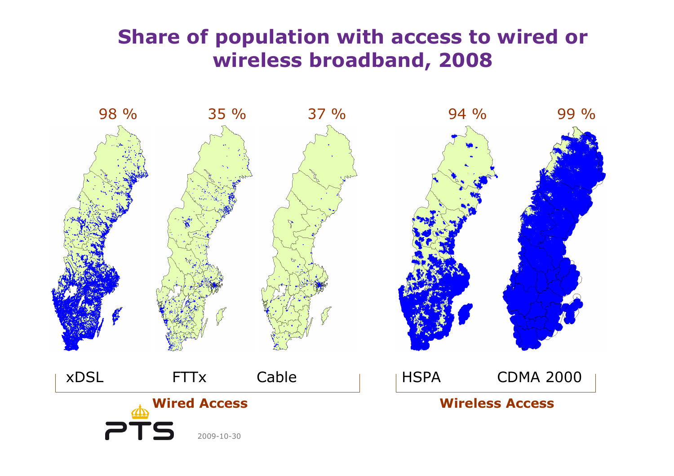## **Share of population with access to wired or wireless broadband, <sup>2008</sup>**